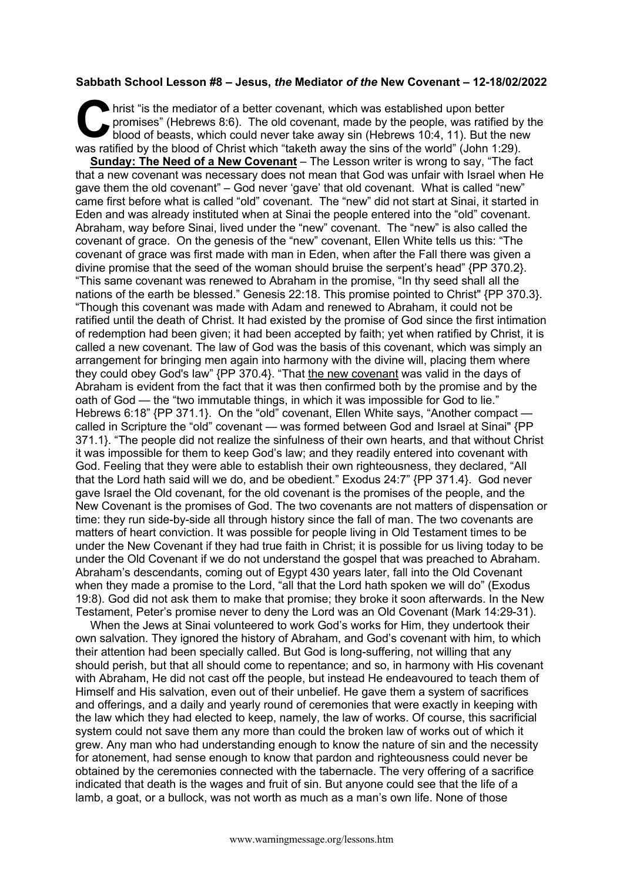## **Sabbath School Lesson #8 – Jesus,** *the* **Mediator** *of the* **New Covenant – 12-18/02/2022**

hrist "is the mediator of a better covenant, which was established upon better promises" (Hebrews 8:6). The old covenant, made by the people, was ratified by the blood of beasts, which could never take away sin (Hebrews 10:4, 11). But the new was ratified by the blood of Christ which "taketh away the sins of the world" (John 1:29). C hris

**Sunday: The Need of a New Covenant** – The Lesson writer is wrong to say, "The fact that a new covenant was necessary does not mean that God was unfair with Israel when He gave them the old covenant" – God never 'gave' that old covenant. What is called "new" came first before what is called "old" covenant. The "new" did not start at Sinai, it started in Eden and was already instituted when at Sinai the people entered into the "old" covenant. Abraham, way before Sinai, lived under the "new" covenant. The "new" is also called the covenant of grace. On the genesis of the "new" covenant, Ellen White tells us this: "The covenant of grace was first made with man in Eden, when after the Fall there was given a divine promise that the seed of the woman should bruise the serpent's head" {PP 370.2}. "This same covenant was renewed to Abraham in the promise, "In thy seed shall all the nations of the earth be blessed." Genesis 22:18. This promise pointed to Christ" {PP 370.3}. "Though this covenant was made with Adam and renewed to Abraham, it could not be ratified until the death of Christ. It had existed by the promise of God since the first intimation of redemption had been given; it had been accepted by faith; yet when ratified by Christ, it is called a new covenant. The law of God was the basis of this covenant, which was simply an arrangement for bringing men again into harmony with the divine will, placing them where they could obey God's law" {PP 370.4}. "That the new covenant was valid in the days of Abraham is evident from the fact that it was then confirmed both by the promise and by the oath of God — the "two immutable things, in which it was impossible for God to lie." Hebrews 6:18" {PP 371.1}. On the "old" covenant, Ellen White says, "Another compact called in Scripture the "old" covenant — was formed between God and Israel at Sinai" {PP 371.1}. "The people did not realize the sinfulness of their own hearts, and that without Christ it was impossible for them to keep God's law; and they readily entered into covenant with God. Feeling that they were able to establish their own righteousness, they declared, "All that the Lord hath said will we do, and be obedient." Exodus 24:7" {PP 371.4}. God never gave Israel the Old covenant, for the old covenant is the promises of the people, and the New Covenant is the promises of God. The two covenants are not matters of dispensation or time: they run side-by-side all through history since the fall of man. The two covenants are matters of heart conviction. It was possible for people living in Old Testament times to be under the New Covenant if they had true faith in Christ; it is possible for us living today to be under the Old Covenant if we do not understand the gospel that was preached to Abraham. Abraham's descendants, coming out of Egypt 430 years later, fall into the Old Covenant when they made a promise to the Lord, "all that the Lord hath spoken we will do" (Exodus 19:8). God did not ask them to make that promise; they broke it soon afterwards. In the New Testament, Peter's promise never to deny the Lord was an Old Covenant (Mark 14:29-31).

When the Jews at Sinai volunteered to work God's works for Him, they undertook their own salvation. They ignored the history of Abraham, and God's covenant with him, to which their attention had been specially called. But God is long-suffering, not willing that any should perish, but that all should come to repentance; and so, in harmony with His covenant with Abraham, He did not cast off the people, but instead He endeavoured to teach them of Himself and His salvation, even out of their unbelief. He gave them a system of sacrifices and offerings, and a daily and yearly round of ceremonies that were exactly in keeping with the law which they had elected to keep, namely, the law of works. Of course, this sacrificial system could not save them any more than could the broken law of works out of which it grew. Any man who had understanding enough to know the nature of sin and the necessity for atonement, had sense enough to know that pardon and righteousness could never be obtained by the ceremonies connected with the tabernacle. The very offering of a sacrifice indicated that death is the wages and fruit of sin. But anyone could see that the life of a lamb, a goat, or a bullock, was not worth as much as a man's own life. None of those